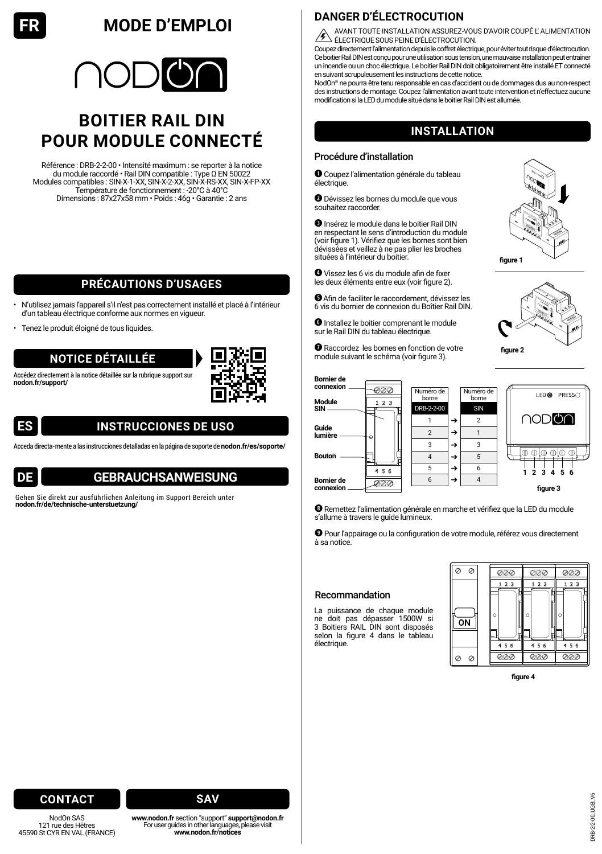# **FR MODE D'EMPLOI**



# **BOITIER RAIL DIN POUR MODULE CONNECTÉ**

Référence : DRB-2-2-00 • Intensité maximum : se reporter à la notice du module raccordé • Rail DIN compatible : Type Ω EN 50022 Modules compatibles : SIN-X-1-XX, SIN-X-2-XX, SIN-X-RS-XX, SIN-X-FP-XX Température de fonctionnement : -20°C à 40°C Dimensions : 87x27x58 mm • Poids : 46g • Garantie : 2 ans

## **PRÉCAUTIONS D'USAGES**

- N'utilisez jamais l'appareil s'il n'est pas correctement installé et placé à l'intérieur d'un tableau électrique conforme aux normes en vigueur.
- Tenez le produit éloigné de tous liquides.

### **NOTICE DÉTAILLÉE**

Accédez directement à la notice détaillée sur la rubrique support sur **[nodon.fr/support/](https://nodon.fr/support/)**





# **INSTRUCCIONES DE USO**

Acceda directa-mente a las instrucciones detalladas en la página de soporte de **[nodon.fr/es/soporte/](https://nodon.fr/es/soporte/)**



## **GEBRAUCHSANWEISUNG**

Gehen Sie direkt zur ausführlichen Anleitung im Support Bereich unter **[nodon.fr/de/technische-unterstuetzung/](https://nodon.fr/de/technische-unterstuetzung/)**

## **DANGER D'ÉLECTROCUTION**

AVANT TOUTE INSTALLATION ASSUREZ-VOUS D'AVOIR COUPÉ L' ALIMENTATION ELECTRIQUE SOUS PEINE D'ÉLECTROCUTION.

Coupez directement l'alimentation depuis le coffret électrique, pour éviter tout risque d'électrocution. Ce boitier Rail DIN est conçu pour une utilisation sous tension, une mauvaise installation peut entraîner un incendie ou un choc électrique. Le boitier Rail DIN doit obligatoirement être installé ET connecté en suivant scrupuleusement les instructions de cette notice.

NodOn® ne pourra être tenu responsable en cas d'accident ou de dommages dus au non-respect des instructions de montage. Coupez l'alimentation avant toute intervention et n'effectuez aucune modification si la LED du module situé dans le boitier Rail DIN est allumée.

### **INSTALLATION**

#### Procédure d'installation

 Coupez l'alimentation générale du tableau électrique.

 Dévissez les bornes du module que vous souhaitez raccorder.

**O** Insérez le module dans le boitier Rail DIN en respectant le sens d'introduction du module (voir figure 1). Vérifiez que les bornes sont bien dévissées et veillez à ne pas plier les broches situées à l'intérieur du boitier.

 Vissez les 6 vis du module afin de fixer les deux éléments entre eux (voir figure 2).

Afin de faciliter le raccordement, dévissez les 6 vis du bornier de connexion du Boîtier Rail DIN.

 Installez le boitier comprenant le module sur le Rail DIN du tableau électrique.

 Raccordez les bornes en fonction de votre module suivant le schéma (voir figure 3).





**Bornier de connexion** ୭୭୭ Numéro de Numéro d **PDECCO** LED<sub>®</sub> borne borne **Module**  $1.2.3$ DRB-2-2-00 SIN **SIN oda** 7 1  $\rightarrow$  2 **Guide lumière** 2  $\rightarrow$  1  $3 \mid \rightarrow \mid 3$ **Bouton** 4  $\rightarrow$  5  $456$  $5 \rightarrow 6$ **1 2 3 4 5 6 Bornier de** 6  $\rightarrow$  4  $\overline{\alpha}$ **connexion figure 3**

 Remettez l'alimentation générale en marche et vérifiez que la LED du module s'allume à travers le guide lumineux.

 Pour l'appairage ou la configuration de votre module, référez vous directement à sa notice.

#### Recommandation

La puissance de chaque module ne doit pas dépasser 1500W si 3 Boitiers RAIL DIN sont disposés selon la figure 4 dans le tableau électrique.



**figure 4**

### **CONTACT**

NodOn SAS 121 rue des Hêtres 45590 St CYR EN VAL (FRANCE)



**[www.nodon.fr](https://nodon.fr/support/)** section "support" **[support@nodon.fr](mailto:support%40nodon.fr?subject=)** For user guides in other languages, please visit **[www.nodon.fr/notices](https://nodon.fr/support/)**